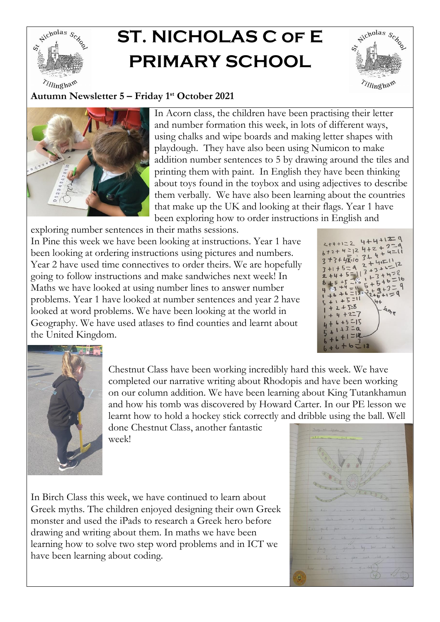

## **ST. NICHOLAS C of E PRIMARY SCHOOL**



## **Autumn Newsletter 5 – Friday 1 st October 2021**



In Acorn class, the children have been practising their letter and number formation this week, in lots of different ways, using chalks and wipe boards and making letter shapes with playdough. They have also been using Numicon to make addition number sentences to 5 by drawing around the tiles and printing them with paint. In English they have been thinking about toys found in the toybox and using adjectives to describe them verbally. We have also been learning about the countries that make up the UK and looking at their flags. Year 1 have been exploring how to order instructions in English and

exploring number sentences in their maths sessions. In Pine this week we have been looking at instructions. Year 1 have

been looking at ordering instructions using pictures and numbers. Year 2 have used time connectives to order theirs. We are hopefully going to follow instructions and make sandwiches next week! In Maths we have looked at using number lines to answer number problems. Year 1 have looked at number sentences and year 2 have looked at word problems. We have been looking at the world in Geography. We have used atlases to find counties and learnt about the United Kingdom.

 $2+4+122$  4+4+ $\frac{129}{229}$  $2+4+1=2$ <br> $6+2+4=12$ <br> $4+2+4=$ <br> $2+4=$  $6+2+4=12$ <br>3+3+4x=10 3+4+4=<br>3+3+4x=10 2+4+=11  $3+41=1$  $5+6=$ <br> $3+3=$  $5 +$  $+1=9$  $+5=11$  $2 + 5.8$  $4n$  $+7-7$ 



Chestnut Class have been working incredibly hard this week. We have completed our narrative writing about Rhodopis and have been working on our column addition. We have been learning about King Tutankhamun and how his tomb was discovered by Howard Carter. In our PE lesson we learnt how to hold a hockey stick correctly and dribble using the ball. Well

done Chestnut Class, another fantastic week!

In Birch Class this week, we have continued to learn about Greek myths. The children enjoyed designing their own Greek monster and used the iPads to research a Greek hero before drawing and writing about them. In maths we have been learning how to solve two step word problems and in ICT we have been learning about coding.

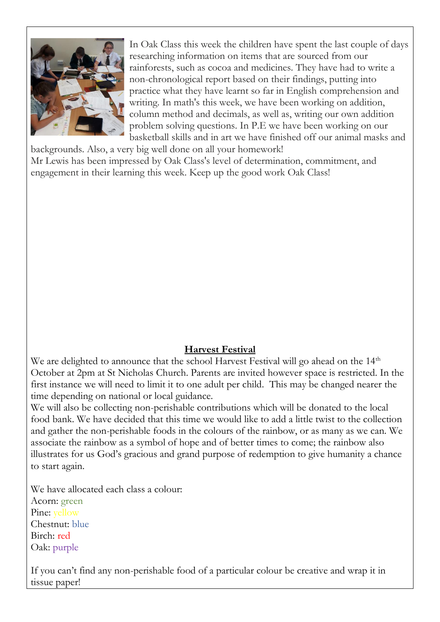

In Oak Class this week the children have spent the last couple of days researching information on items that are sourced from our rainforests, such as cocoa and medicines. They have had to write a non-chronological report based on their findings, putting into practice what they have learnt so far in English comprehension and writing. In math's this week, we have been working on addition, column method and decimals, as well as, writing our own addition problem solving questions. In P.E we have been working on our basketball skills and in art we have finished off our animal masks and

backgrounds. Also, a very big well done on all your homework! Mr Lewis has been impressed by Oak Class's level of determination, commitment, and engagement in their learning this week. Keep up the good work Oak Class!

## **Harvest Festival**

We are delighted to announce that the school Harvest Festival will go ahead on the  $14<sup>th</sup>$ October at 2pm at St Nicholas Church. Parents are invited however space is restricted. In the first instance we will need to limit it to one adult per child. This may be changed nearer the time depending on national or local guidance.

We will also be collecting non-perishable contributions which will be donated to the local food bank. We have decided that this time we would like to add a little twist to the collection and gather the non-perishable foods in the colours of the rainbow, or as many as we can. We associate the rainbow as a symbol of hope and of better times to come; the rainbow also illustrates for us God's gracious and grand purpose of redemption to give humanity a chance to start again.

We have allocated each class a colour: Acorn: green Pine: yellow Chestnut: blue Birch: red Oak: purple

If you can't find any non-perishable food of a particular colour be creative and wrap it in tissue paper!